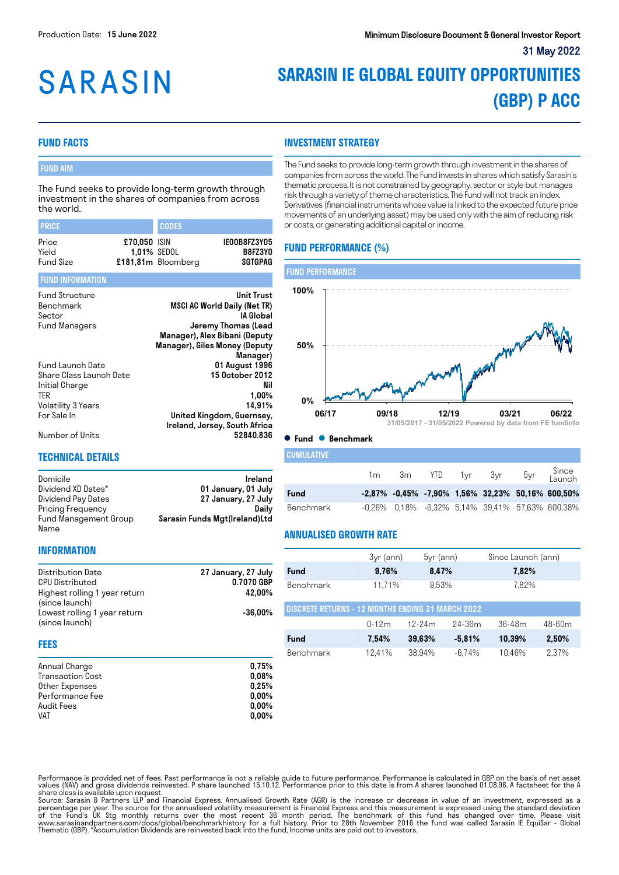# **SARASIN**

# **SARASIN IE GLOBAL EQUITY OPPORTUNITIES (GBP) P ACC**

# **FUND FACTS**

# FUND AIM

The Fund seeks to provide long-term growth through investment in the shares of companies from across the world.

| <b>PRICE</b>                                                                                                     |              | <b>CODES</b>                      |                                                                                                                                                                            |
|------------------------------------------------------------------------------------------------------------------|--------------|-----------------------------------|----------------------------------------------------------------------------------------------------------------------------------------------------------------------------|
| Price<br>Yield<br><b>Fund Size</b>                                                                               | £70,050 ISIN | 1,01% SEDOL<br>£181,81m Bloomberg | IE00B8FZ3Y05<br>B8FZ3Y0<br><b>SGTGPAG</b>                                                                                                                                  |
| <b>FUND INFORMATION</b>                                                                                          |              |                                   |                                                                                                                                                                            |
| <b>Fund Structure</b><br>Benchmark<br>Sector<br>Fund Managers                                                    |              |                                   | <b>Unit Trust</b><br><b>MSCI AC World Daily (Net TR)</b><br>IA Global<br>Jeremy Thomas (Lead<br>Manager), Alex Bibani (Deputy<br>Manager), Giles Money (Deputy<br>Manager) |
| Fund Launch Date<br>Share Class Launch Date<br>Initial Charge<br><b>TER</b><br>Volatility 3 Years<br>For Sale In |              |                                   | 01 August 1996<br>15 0ctober 2012<br>Nil<br>$1,00\%$<br>14,91%<br>United Kingdom, Guernsey,<br>Ireland, Jersey, South Africa                                               |
| Number of Units                                                                                                  |              |                                   | 52840.836                                                                                                                                                                  |

Domicile **Ireland** Dividend XD Dates\* 01 January, 01 July<br>Dividend Pay Dates 27 January, 27 July

# **INVESTMENT STRATEGY**

The Fund seeks to provide long-term growth through investment in the shares of companies from across the world. The Fund invests in shares which satisfy Sarasin's thematic process. It is not constrained by geography, sector or style but manages risk through a variety of theme characteristics. The Fund will not track an index. Derivatives (financial instruments whose value is linked to the expected future price movements of an underlying asset) may be used only with the aim of reducing risk or costs, or generating additional capital or income.

# **FUND PERFORMANCE (%)**



#### **Fund Benchmark**

| <b>CUMULATIVE</b> |    |  |                |                                                           |
|-------------------|----|--|----------------|-----------------------------------------------------------|
|                   | 1m |  | 3m YTD 1yr 3yr | 5yr Since<br>Launch                                       |
| <b>Fund</b>       |    |  |                | $-2.87\%$ $-0.45\%$ $-7.90\%$ 1.56% 32.23% 50.16% 600.50% |
| Benchmark         |    |  |                | $-0.26\%$ 0.18% $-6.32\%$ 5.14% 39.41% 57.63% 600.38%     |

## **ANNUALISED GROWTH RATE**

| <b>INFORMATION</b>                                                                                                                        |                                             |                |
|-------------------------------------------------------------------------------------------------------------------------------------------|---------------------------------------------|----------------|
| Distribution Date<br>CPU Distributed<br>Highest rolling 1 year return<br>(since launch)<br>Lowest rolling 1 year return<br>(since launch) | 27 January, 27 July<br>0.7070 GBP<br>42.00% | Fund<br>Benchr |
|                                                                                                                                           | $-36.00\%$                                  | <b>DISCRET</b> |

27 January, 27 July<br>Daily

Sarasin Funds Mgt(Ireland)Ltd

#### **FEES**

Name

Pricing Frequency Fund Management Group

**TECHNICAL DETAILS**

| Annual Charge           | 0.75%    |
|-------------------------|----------|
| <b>Transaction Cost</b> | 0.08%    |
| Other Expenses          | 0.25%    |
| Performance Fee         | $0.00\%$ |
| Audit Fees              | $0.00\%$ |
| <b>VAT</b>              | $0.00\%$ |

|                                                          | 3yr (ann) | $5yr$ (ann) |           | Since Launch (ann) |        |  |
|----------------------------------------------------------|-----------|-------------|-----------|--------------------|--------|--|
| <b>Fund</b>                                              | 9,76%     | 8,47%       |           | 7,82%              |        |  |
| Benchmark                                                | 11,71%    | 9.53%       |           | 7,82%              |        |  |
| <b>DISCRETE RETURNS - 12 MONTHS ENDING 31 MARCH 2022</b> |           |             |           |                    |        |  |
|                                                          | $0 - 12m$ | $12 - 24m$  | 24-36m    | $36 - 48m$         | 48-60m |  |
| Fund                                                     | 7,54%     | 39,63%      | $-5,81%$  | 10,39%             | 2,50%  |  |
| Benchmark                                                | 12,41%    | 38.94%      | $-6.74\%$ | 10,46%             | 2,37%  |  |

Performance is provided net of fees. Past performance is not a reliable guide to future performance. Performance is calculated in GBP on the basis of net asset<br>values (NAV) and gross dividends reinvested. P share launched

Source: Sarasin & Partners LLP and Financial Express. Annualised Growth Rate (AGR) is the increase or decrease in value of an investment, expressed as a<br>percentage per year. The source for the annualised volatility measure